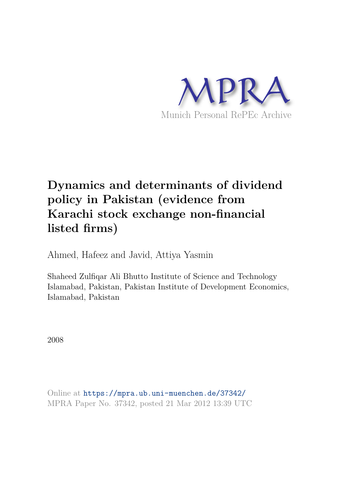

# **Dynamics and determinants of dividend policy in Pakistan (evidence from Karachi stock exchange non-financial listed firms)**

Ahmed, Hafeez and Javid, Attiya Yasmin

Shaheed Zulfiqar Ali Bhutto Institute of Science and Technology Islamabad, Pakistan, Pakistan Institute of Development Economics, Islamabad, Pakistan

2008

Online at https://mpra.ub.uni-muenchen.de/37342/ MPRA Paper No. 37342, posted 21 Mar 2012 13:39 UTC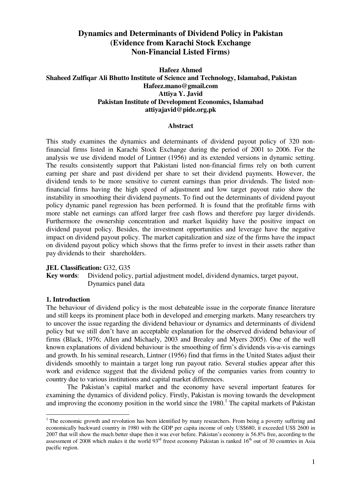# **Dynamics and Determinants of Dividend Policy in Pakistan (Evidence from Karachi Stock Exchange Non-Financial Listed Firms)**

# **Hafeez Ahmed Shaheed Zulfiqar Ali Bhutto Institute of Science and Technology, Islamabad, Pakistan Hafeez.mano@gmail.com Attiya Y. Javid Pakistan Institute of Development Economics, Islamabad attiyajavid@pide.org.pk**

## **Abstract**

This study examines the dynamics and determinants of dividend payout policy of 320 nonfinancial firms listed in Karachi Stock Exchange during the period of 2001 to 2006. For the analysis we use dividend model of Lintner (1956) and its extended versions in dynamic setting. The results consistently support that Pakistani listed non-financial firms rely on both current earning per share and past dividend per share to set their dividend payments. However, the dividend tends to be more sensitive to current earnings than prior dividends. The listed nonfinancial firms having the high speed of adjustment and low target payout ratio show the instability in smoothing their dividend payments. To find out the determinants of dividend payout policy dynamic panel regression has been performed. It is found that the profitable firms with more stable net earnings can afford larger free cash flows and therefore pay larger dividends. Furthermore the ownership concentration and market liquidity have the positive impact on dividend payout policy. Besides, the investment opportunities and leverage have the negative impact on dividend payout policy. The market capitalization and size of the firms have the impact on dividend payout policy which shows that the firms prefer to invest in their assets rather than pay dividends to their shareholders.

#### **JEL Classification:** G32, G35

**Key words**: Dividend policy, partial adjustment model, dividend dynamics, target payout, Dynamics panel data

# **1. Introduction**

<u>.</u>

The behaviour of dividend policy is the most debateable issue in the corporate finance literature and still keeps its prominent place both in developed and emerging markets. Many researchers try to uncover the issue regarding the dividend behaviour or dynamics and determinants of dividend policy but we still don"t have an acceptable explanation for the observed dividend behaviour of firms (Black, 1976; Allen and Michaely, 2003 and Brealey and Myers 2005). One of the well known explanations of dividend behaviour is the smoothing of firm"s dividends vis-a-vis earnings and growth. In his seminal research, Lintner (1956) find that firms in the United States adjust their dividends smoothly to maintain a target long run payout ratio. Several studies appear after this work and evidence suggest that the dividend policy of the companies varies from country to country due to various institutions and capital market differences.

The Pakistan"s capital market and the economy have several important features for examining the dynamics of dividend policy. Firstly, Pakistan is moving towards the development and improving the economy position in the world since the 1980.<sup>1</sup> The capital markets of Pakistan

<sup>&</sup>lt;sup>1</sup> The economic growth and revolution has been identified by many researchers. From being a poverty suffering and economically backward country in 1980 with the GDP per capita income of only US\$680, it exceeded US\$ 2600 in 2007 that will show the much better shape then it was ever before. Pakistan"s economy is 56.8% free, according to the assessment of 2008 which makes it the world  $93<sup>rd</sup>$  freest economy Pakistan is ranked  $16<sup>th</sup>$  out of 30 countries in Asia pacific region.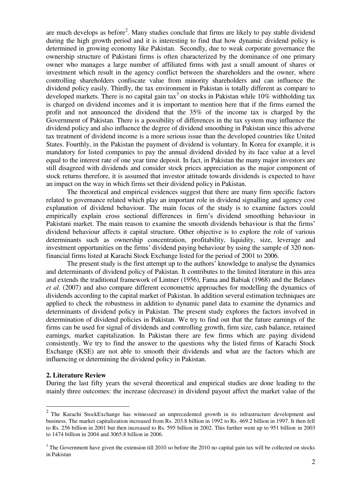are much develops as before<sup>2</sup>. Many studies conclude that firms are likely to pay stable dividend during the high growth period and it is interesting to find that how dynamic dividend policy is determined in growing economy like Pakistan. Secondly, due to weak corporate governance the ownership structure of Pakistani firms is often characterized by the dominance of one primary owner who manages a large number of affiliated firms with just a small amount of shares or investment which result in the agency conflict between the shareholders and the owner, where controlling shareholders confiscate value from minority shareholders and can influence the dividend policy easily. Thirdly, the tax environment in Pakistan is totally different as compare to developed markets. There is no capital gain tax<sup>3</sup> on stocks in Pakistan while 10% withholding tax is charged on dividend incomes and it is important to mention here that if the firms earned the profit and not announced the dividend that the 35% of the income tax is charged by the Government of Pakistan. There is a possibility of differences in the tax system may influence the dividend policy and also influence the degree of dividend smoothing in Pakistan since this adverse tax treatment of dividend income is a more serious issue than the developed countries like United States. Fourthly, in the Pakistan the payment of dividend is voluntary. In Korea for example, it is mandatory for listed companies to pay the annual dividend divided by its face value at a level equal to the interest rate of one year time deposit. In fact, in Pakistan the many major investors are still disagreed with dividends and consider stock prices appreciation as the major component of stock returns therefore, it is assumed that investor attitude towards dividends is expected to have an impact on the way in which firms set their dividend policy in Pakistan.

The theoretical and empirical evidences suggest that there are many firm specific factors related to governance related which play an important role in dividend signalling and agency cost explanation of dividend behaviour. The main focus of the study is to examine factors could empirically explain cross sectional differences in firm"s dividend smoothing behaviour in Pakistani market. The main reason to examine the smooth dividends behaviour is that the firms' dividend behaviour affects it capital structure. Other objective is to explore the role of various determinants such as ownership concentration, profitability, liquidity, size, leverage and investment opportunities on the firms' dividend paying behaviour by using the sample of 320 nonfinancial firms listed at Karachi Stock Exchange listed for the period of 2001 to 2006.

The present study is the first attempt up to the authors" knowledge to analyse the dynamics and determinants of dividend policy of Pakistan. It contributes to the limited literature in this area and extends the traditional framework of Lintner (1956), Fama and Babiak (1968) and the Belanes *et al.* (2007) and also compare different econometric approaches for modelling the dynamics of dividends according to the capital market of Pakistan. In addition several estimation techniques are applied to check the robustness in addition to dynamic panel data to examine the dynamics and determinants of dividend policy in Pakistan. The present study explores the factors involved in determination of dividend policies in Pakistan. We try to find out that the future earnings of the firms can be used for signal of dividends and controlling growth, firm size, cash balance, retained earnings, market capitalization. In Pakistan there are few firms which are paying dividend consistently. We try to find the answer to the questions why the listed firms of Karachi Stock Exchange (KSE) are not able to smooth their dividends and what are the factors which are influencing or determining the dividend policy in Pakistan.

#### **2. Literature Review**

During the last fifty years the several theoretical and empirical studies are done leading to the mainly three outcomes: the increase (decrease) in dividend payout affect the market value of the

<sup>&</sup>lt;sup>2</sup> The Karachi StockExchange has witnessed an unprecedented growth in its infrastructure development and business. The market capitalization increased from Rs. 203.8 billion in 1992 to Rs. 469.2 billion in 1997. It then fell to Rs. 256 billion in 2001 but then increased to Rs. 595 billion in 2002. This further went up to 951 billion in 2003 to 1474 billion in 2004 and 3065.8 billion in 2006.

 $3$  The Government have given the extension till 2010 so before the 2010 no capital gain tax will be collected on stocks in Pakistan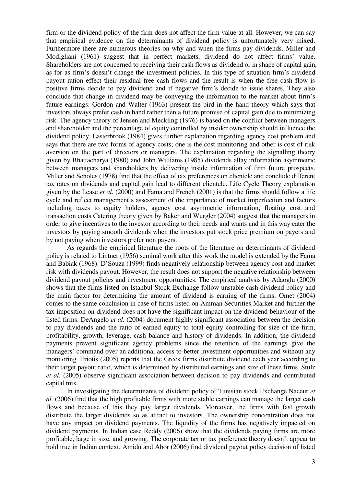firm or the dividend policy of the firm does not affect the firm value at all. However, we can say that empirical evidence on the determinants of dividend policy is unfortunately very mixed. Furthermore there are numerous theories on why and when the firms pay dividends. Miller and Modigliani (1961) suggest that in perfect markets, dividend do not affect firms" value. Shareholders are not concerned to receiving their cash flows as dividend or in shape of capital gain, as for as firm"s doesn"t change the investment policies. In this type of situation firm"s dividend payout ration effect their residual free cash flows and the result is when the free cash flow is positive firms decide to pay dividend and if negative firm"s decide to issue shares. They also conclude that change in dividend may be conveying the information to the market about firm"s future earnings. Gordon and Walter (1963) present the bird in the hand theory which says that investors always prefer cash in hand rather then a future promise of capital gain due to minimizing risk. The agency theory of Jensen and Meckling (1976) is based on the conflict between managers and shareholder and the percentage of equity controlled by insider ownership should influence the dividend policy. Easterbrook (1984) gives further explanation regarding agency cost problem and says that there are two forms of agency costs; one is the cost monitoring and other is cost of risk aversion on the part of directors or managers. The explanation regarding the signalling theory given by Bhattacharya (1980) and John Williams (1985) dividends allay information asymmetric between managers and shareholders by delivering inside information of firm future prospects. Miller and Scholes (1978) find that the effect of tax preferences on clientele and conclude different tax rates on dividends and capital gain lead to different clientele. Life Cycle Theory explanation given by the Lease *et al.* (2000) and Fama and French (2001) is that the firms should follow a life cycle and reflect management's assessment of the importance of market imperfection and factors including taxes to equity holders, agency cost asymmetric information, floating cost and transaction costs Catering theory given by Baker and Wurgler (2004) suggest that the managers in order to give incentives to the investor according to their needs and wants and in this way cater the investors by paying smooth dividends when the investors put stock price premium on payers and by not paying when investors prefer non payers.

As regards the empirical literature the roots of the literature on determinants of dividend policy is related to Lintner (1956) seminal work after this work the model is extended by the Fama and Babiak (1968). D"Souza (1999) finds negatively relationship between agency cost and market risk with dividends payout. However, the result does not support the negative relationship between dividend payout policies and investment opportunities. The empirical analysis by Adaoglu (2000) shows that the firms listed on Istanbul Stock Exchange follow unstable cash dividend policy and the main factor for determining the amount of dividend is earning of the firms. Omet (2004) comes to the same conclusion in case of firms listed on Amman Securities Market and further the tax imposition on dividend does not have the significant impact on the dividend behaviour of the listed firms. DeAngelo *et al.* (2004) document highly significant association between the decision to pay dividends and the ratio of earned equity to total equity controlling for size of the firm, profitability, growth, leverage, cash balance and history of dividends. In addition, the dividend payments prevent significant agency problems since the retention of the earnings give the managers' command over an additional access to better investment opportunities and without any monitoring. Eriotis (2005) reports that the Greek firms distribute dividend each year according to their target payout ratio, which is determined by distributed earnings and size of these firms. Stulz *et al.* (2005) observe significant association between decision to pay dividends and contributed capital mix.

In investigating the determinants of dividend policy of Tunisian stock Exchange Naceur *et al.* (2006) find that the high profitable firms with more stable earnings can manage the larger cash flows and because of this they pay larger dividends. Moreover, the firms with fast growth distribute the larger dividends so as attract to investors. The ownership concentration does not have any impact on dividend payments. The liquidity of the firms has negatively impacted on dividend payments. In Indian case Reddy (2006) show that the dividends paying firms are more profitable, large in size, and growing. The corporate tax or tax preference theory doesn"t appear to hold true in Indian context. Amidu and Abor (2006) find dividend payout policy decision of listed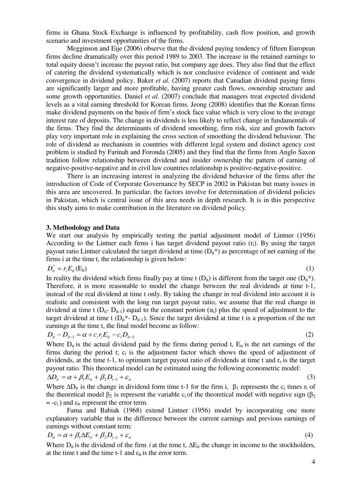firms in Ghana Stock Exchange is influenced by profitability, cash flow position, and growth scenario and investment opportunities of the firms.

Megginson and Eije (2006) observe that the dividend paying tendency of fifteen European firms decline dramatically over this period 1989 to 2003. The increase in the retained earnings to total equity doesn"t increase the payout ratio, but company age does. They also find that the effect of catering the dividend systematically which is nor conclusive evidence of continent and wide convergence in dividend policy. Baker *et al.* (2007) reports that Canadian dividend paying firms are significantly larger and more profitable, having greater cash flows, ownership structure and some growth opportunities. Daniel *et al.* (2007) conclude that managers treat expected dividend levels as a vital earning threshold for Korean firms. Jeong (2008) identifies that the Korean firms make dividend payments on the basis of firm"s stock face value which is very close to the average interest rate of deposits. The change in dividends is less likely to reflect change in fundamentals of the firms. They find the determinants of dividend smoothing, firm risk, size and growth factors play very important role in explaining the cross section of smoothing the dividend behaviour. The role of dividend as mechanism in countries with different legal system and distinct agency cost problem is studied by Farinah and Foronda (2005) and they find that the firms from Anglo Saxon tradition follow relationship between dividend and insider ownership the pattern of earning of negative-positive-negative and in civil law countries relationship is positive-negative-positive.

There is an increasing interest in analyzing the dividend behavior of the firms after the introduction of Code of Corporate Governance by SECP in 2002 in Pakistan but many issues in this area are uncovered. In particular, the factors involve for determination of dividend policies in Pakistan, which is central issue of this area needs in depth research. It is in this perspective this study aims to make contribution in the literature on dividend policy.

#### **3. Methodology and Data**

We start our analysis by empirically testing the partial adjustment model of Lintner (1956) According to the Lintner each firms i has target dividend payout ratio (ri). By using the target payout ratio Lintner calculated the target dividend at time  $(D<sub>i</sub>*)$  as percentage of net earning of the firms i at the time t, the relationship is given below:

$$
D_{it}^* = r_i E_{it}(\mathbf{E}_{it}) \tag{1}
$$

In reality the dividend which firms finally pay at time t  $(D_{it})$  is different from the target one  $(D_{it}^*)$ . Therefore, it is more reasonable to model the change between the real dividends at time t-1, instead of the real dividend at time t only. By taking the change in real dividend into account it is realistic and consistent with the long run target payout ratio, we assume that the real change in dividend at time t  $(D_{it} - D_{it-1})$  equal to the constant portion  $(\alpha_i)$  plus the speed of adjustment to the target dividend at time t  $(D_{it}^* - D_{it-1})$ . Since the target dividend at time t is a proportion of the net earnings at the time t, the final model become as follow:

$$
D_{it} - D_{it-1} = \alpha + c_i r_i E_{it} - c_i D_{it-1}
$$
\n(2)

Where  $D_{it}$  is the actual dividend paid by the firms during period t,  $E_{it}$  is the net earnings of the firms during the period  $t$ ;  $c_i$  is the adjustment factor which shows the speed of adjustment of dividends, at the time t-1, to optimum target payout ratio of dividends at time t and  $r_t$  is the target payout ratio. This theoretical model can be estimated using the following econometric model:

$$
\Delta D_{it} = \alpha + \beta_1 E_{it} + \beta_2 D_{t-1} + \varepsilon_{it} \tag{3}
$$

Where  $\Delta D_{it}$  is the change in dividend form time t-1 for the firm i,  $\beta_1$  represents the c<sub>i</sub> times r<sub>t</sub> of the theoretical model  $\beta_2$  is represent the variable c<sub>i</sub> of the theoretical model with negative sign ( $\beta_2$ )  $= -c_i$ ) and  $\varepsilon_{it}$  represent the error term.

Fama and Babiak (1968) extend Lintner (1956) model by incorporating one more explanatory variable that is the difference between the current earnings and previous earnings of earnings without constant term:

$$
D_{it} = \alpha + \beta_1 \Delta E_{it} + \beta_2 D_{t-1} + \varepsilon_{it}
$$
\n<sup>(4)</sup>

Where  $D_{it}$  is the dividend of the firm *i* at the time t,  $\Delta E_{it}$  the change in income to the stockholders, at the time t and the time t-1 and  $\varepsilon_{it}$  is the error term.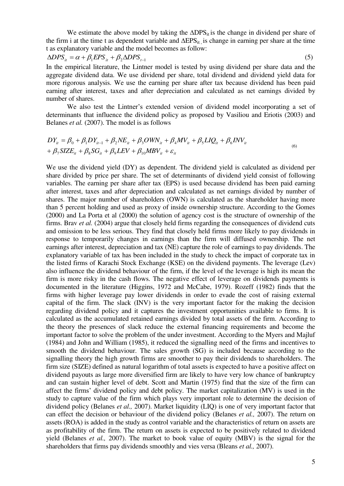We estimate the above model by taking the  $\Delta$ DPS<sub>it</sub> is the change in dividend per share of the firm i at the time t as dependent variable and  $\Delta EPS_{it}$ , is change in earning per share at the time t as explanatory variable and the model becomes as follow:

$$
\Delta DPS_{it} = \alpha + \beta_1 EPS_{it} + \beta_2 \Delta DPS_{t-1} \tag{5}
$$

In the empirical literature, the Lintner model is tested by using dividend per share data and the aggregate dividend data. We use dividend per share, total dividend and dividend yield data for more rigorous analysis. We use the earning per share after tax because dividend has been paid earning after interest, taxes and after depreciation and calculated as net earnings divided by number of shares.

We also test the Lintner"s extended version of dividend model incorporating a set of determinants that influence the dividend policy as proposed by Vasiliou and Eriotis (2003) and Belanes *et al.* (2007). The model is as follows

$$
DY_{it} = \beta_0 + \beta_1 DY_{it-1} + \beta_2 NE_{it} + \beta_3 OWN_{it} + \beta_4 MV_{it} + \beta_5 LIQ_{it} + \beta_6 INV_{it}
$$
  
+  $\beta_7 SIZE_{it} + \beta_8 SG_{it} + \beta_9 LEV + \beta_{10} MBV_{it} + \varepsilon_{it}$  (6)

We use the dividend yield (DY) as dependent. The dividend yield is calculated as dividend per share divided by price per share. The set of determinants of dividend yield consist of following variables. The earning per share after tax (EPS) is used because dividend has been paid earning after interest, taxes and after depreciation and calculated as net earnings divided by number of shares. The major number of shareholders (OWN) is calculated as the shareholder having more than 5 percent holding and used as proxy of inside ownership structure. According to the Gomes (2000) and La Porta et al (2000) the solution of agency cost is the structure of ownership of the firms. Brav *et al.* (2004) argue that closely held firms regarding the consequences of dividend cuts and omission to be less serious. They find that closely held firms more likely to pay dividends in response to temporarily changes in earnings than the firm will diffused ownership. The net earnings after interest, depreciation and tax (NE) capture the role of earnings to pay dividends. The explanatory variable of tax has been included in the study to check the impact of corporate tax in the listed firms of Karachi Stock Exchange (KSE) on the dividend payments. The leverage (Lev) also influence the dividend behaviour of the firm, if the level of the leverage is high its mean the firm is more risky in the cash flows. The negative effect of leverage on dividends payments is documented in the literature (Higgins, 1972 and McCabe, 1979). Rozeff (1982) finds that the firms with higher leverage pay lower dividends in order to evade the cost of raising external capital of the firm. The slack (INV) is the very important factor for the making the decision regarding dividend policy and it captures the investment opportunities available to firms. It is calculated as the accumulated retained earnings divided by total assets of the firm. According to the theory the presences of slack reduce the external financing requirements and become the important factor to solve the problem of the under investment. According to the Myers and Majluf (1984) and John and William (1985), it reduced the signalling need of the firms and incentives to smooth the dividend behaviour. The sales growth (SG) is included because according to the signalling theory the high growth firms are smoother to pay their dividends to shareholders. The firm size (SIZE) defined as natural logarithm of total assets is expected to have a positive affect on dividend payouts as large more diversified firm are likely to have very low chance of bankruptcy and can sustain higher level of debt. Scott and Martin (1975) find that the size of the firm can affect the firms' dividend policy and debt policy. The market capitalization (MV) is used in the study to capture value of the firm which plays very important role to determine the decision of dividend policy (Belanes *et al.,* 2007). Market liquidity (LIQ) is one of very important factor that can effect the decision or behaviour of the dividend policy (Belanes *et al.,* 2007). The return on assets (ROA) is added in the study as control variable and the characteristics of return on assets are as profitability of the firm. The return on assets is expected to be positively related to dividend yield (Belanes *et al.,* 2007). The market to book value of equity (MBV) is the signal for the shareholders that firms pay dividends smoothly and vies versa (Bleans *et al.,* 2007).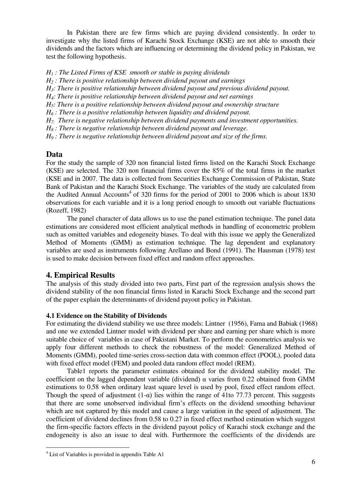In Pakistan there are few firms which are paying dividend consistently. In order to investigate why the listed firms of Karachi Stock Exchange (KSE) are not able to smooth their dividends and the factors which are influencing or determining the dividend policy in Pakistan, we test the following hypothesis.

*H1 : The Listed Firms of KSE smooth or stable in paying dividends* 

*H<sup>2</sup> : There is positive relationship between dividend payout and earnings* 

*H3: There is positive relationship between dividend payout and previous dividend payout.* 

*H4: There is positive relationship between dividend payout and net earnings* 

*H5: There is a positive relationship between dividend payout and ownership structure* 

*H6 : There is a positive relationship between liquidity and dividend payout.* 

*H7: There is negative relationship between dividend payments and investment opportunities.* 

*H8 : There is negative relationship between dividend payout and leverage.* 

*H9 : There is negative relationship between dividend payout and size of the firms.* 

# **Data**

For the study the sample of 320 non financial listed firms listed on the Karachi Stock Exchange (KSE) are selected. The 320 non financial firms cover the 85% of the total firms in the market (KSE and in 2007. The data is collected from Securities Exchange Commission of Pakistan, State Bank of Pakistan and the Karachi Stock Exchange. The variables of the study are calculated from the Audited Annual Accounts<sup>4</sup> of 320 firms for the period of 2001 to 2006 which is about 1830 observations for each variable and it is a long period enough to smooth out variable fluctuations (Rozeff, 1982)

The panel character of data allows us to use the panel estimation technique. The panel data estimations are considered most efficient analytical methods in handling of econometric problem such as omitted variables and edogeneity biases. To deal with this issue we apply the Generalized Method of Moments (GMM) as estimation technique. The lag dependent and explanatory variables are used as instruments following Arellano and Bond (1991). The Hausman (1978) test is used to make decision between fixed effect and random effect approaches.

# **4. Empirical Results**

The analysis of this study divided into two parts, First part of the regression analysis shows the dividend stability of the non financial firms listed in Karachi Stock Exchange and the second part of the paper explain the determinants of dividend payout policy in Pakistan.

# **4.1 Evidence on the Stability of Dividends**

For estimating the dividend stability we use three models: Lintner (1956), Fama and Babiak (1968) and one we extended Lintner model with dividend per share and earning per share which is more suitable choice of variables in case of Pakistani Market. To perform the econometrics analysis we apply four different methods to check the robustness of the model: Generalized Method of Moments (GMM), pooled time-series cross-section data with common effect (POOL), pooled data with fixed effect model (FEM) and pooled data random effect model (REM).

Table1 reports the parameter estimates obtained for the dividend stability model. The coefficient on the lagged dependent variable (dividend)  $\alpha$  varies from 0.22 obtained from GMM estimations to 0.58 when ordinary least square level is used by pool, fixed effect random effect. Though the speed of adjustment  $(1-\alpha)$  lies within the range of 41to 77.73 percent. This suggests that there are some unobserved individual firm"s effects on the dividend smoothing behaviour which are not captured by this model and cause a large variation in the speed of adjustment. The coefficient of dividend declines from 0.58 to 0.27 in fixed effect method estimation which suggest the firm-specific factors effects in the dividend payout policy of Karachi stock exchange and the endogeneity is also an issue to deal with. Furthermore the coefficients of the dividends are

 4 List of Variables is provided in appendix Table A1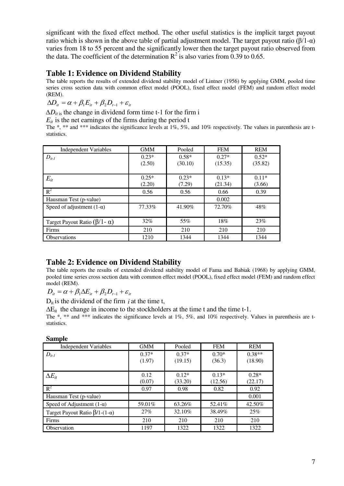significant with the fixed effect method. The other useful statistics is the implicit target payout ratio which is shown in the above table of partial adjustment model. The target payout ratio (β/1- $\alpha$ ) varies from 18 to 55 percent and the significantly lower then the target payout ratio observed from the data. The coefficient of the determination  $R^2$  is also varies from 0.39 to 0.65.

# **Table 1: Evidence on Dividend Stability**

The table reports the results of extended dividend stability model of Lintner (1956) by applying GMM, pooled time series cross section data with common effect model (POOL), fixed effect model (FEM) and random effect model (REM).

 $\Delta D_{it} = \alpha + \beta_1 E_{it} + \beta_2 D_{t-1} + \varepsilon_{it}$ 

 $\Delta D_{it}$  is the change in dividend form time t-1 for the firm i

 $E_{it}$  is the net earnings of the firms during the period t

The \*, \*\* and \*\*\* indicates the significance levels at 1%, 5%, and 10% respectively. The values in parenthesis are tstatistics.

| <b>Independent Variables</b>             | <b>GMM</b><br>Pooled |         | <b>FEM</b> | <b>REM</b> |
|------------------------------------------|----------------------|---------|------------|------------|
| $D_{it-l}$                               | $0.23*$              | $0.58*$ | $0.27*$    | $0.52*$    |
|                                          | (2.50)               | (30.10) | (15.35)    | (35.82)    |
|                                          |                      |         |            |            |
| $E_{it}$                                 | $0.25*$              | $0.23*$ | $0.13*$    | $0.11*$    |
|                                          | (2.20)               | (7.29)  | (21.34)    | (3.66)     |
| $R^2$                                    | 0.56                 | 0.56    | 0.66       | 0.39       |
| Hausman Test (p-value)                   |                      |         | 0.002      |            |
| Speed of adjustment $(1-\alpha)$         | 77.33%               | 41.90%  | 72.70%     | 48%        |
|                                          |                      |         |            |            |
| Target Payout Ratio $(\beta/1 - \alpha)$ | 32%                  | 55%     | 18%        | 23%        |
| Firms                                    | 210                  | 210     | 210        | 210        |
| <b>Observations</b>                      | 1210                 | 1344    | 1344       | 1344       |

# **Table 2: Evidence on Dividend Stability**

The table reports the results of extended dividend stability model of Fama and Babiak (1968) by applying GMM, pooled time series cross section data with common effect model (POOL), fixed effect model (FEM) and random effect model (REM).

 $D_{ii} = \alpha + \beta_1 \Delta E_{ii} + \beta_2 D_{t-1} + \varepsilon_{it}$ 

 $D_{it}$  is the dividend of the firm *i* at the time t,

 $\Delta E_{it}$  the change in income to the stockholders at the time t and the time t-1.

The \*, \*\* and \*\*\* indicates the significance levels at 1%, 5%, and 10% respectively. Values in parenthesis are tstatistics.

| эашріс                                        |            |         |            |            |
|-----------------------------------------------|------------|---------|------------|------------|
| <b>Independent Variables</b>                  | <b>GMM</b> | Pooled  | <b>FEM</b> | <b>REM</b> |
| $D_{it-1}$                                    | $0.37*$    | $0.37*$ | $0.70*$    | $0.38**$   |
|                                               | (1.97)     | (19.15) | (36.3)     | (18.90)    |
|                                               |            |         |            |            |
| $\Delta E_{it}$                               | 0.12       | $0.12*$ | $0.13*$    | $0.28*$    |
|                                               | (0.07)     | (33.20) | (12.56)    | (22.17)    |
| $R^2$                                         | 0.97       | 0.98    | 0.82       | 0.92       |
| Hausman Test (p-value)                        |            |         |            | 0.001      |
| Speed of Adjustment $(1-\alpha)$              | 59.01%     | 63.26%  | 52.41%     | 42.50%     |
| Target Payout Ratio $\beta$ /1-(1- $\alpha$ ) | 27%        | 32.10%  | 38.49%     | 25%        |
| Firms                                         | 210        | 210     | 210        | 210        |
| Observation                                   | 1197       | 1322    | 1322       | 1322       |

# **Sample**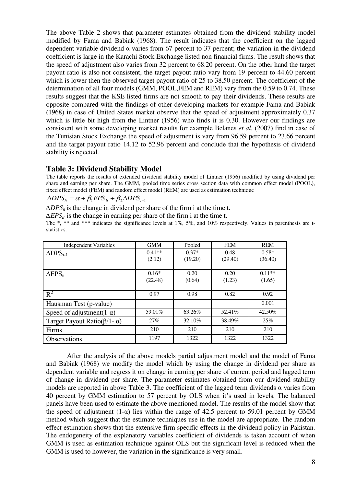The above Table 2 shows that parameter estimates obtained from the dividend stability model modified by Fama and Babiak (1968). The result indicates that the coefficient on the lagged dependent variable dividend  $\alpha$  varies from 67 percent to 37 percent; the variation in the dividend coefficient is large in the Karachi Stock Exchange listed non financial firms. The result shows that the speed of adjustment also varies from 32 percent to 68.20 percent. On the other hand the target payout ratio is also not consistent, the target payout ratio vary from 19 percent to 44.60 percent which is lower then the observed target payout ratio of 25 to 38.50 percent. The coefficient of the determination of all four models (GMM, POOL,FEM and REM) vary from the 0.59 to 0.74. These results suggest that the KSE listed firms are not smooth to pay their dividends. These results are opposite compared with the findings of other developing markets for example Fama and Babiak (1968) in case of United States market observe that the speed of adjustment approximately 0.37 which is little bit high from the Lintner (1956) who finds it is 0.30. However our findings are consistent with some developing market results for example Belanes *et al.* (2007) find in case of the Tunisian Stock Exchange the speed of adjustment is vary from 96.59 percent to 23.66 percent and the target payout ratio 14.12 to 52.96 percent and conclude that the hypothesis of dividend stability is rejected.

# **Table 3: Dividend Stability Model**

The table reports the results of extended dividend stability model of Lintner (1956) modified by using dividend per share and earning per share. The GMM, pooled time series cross section data with common effect model (POOL), fixed effect model (FEM) and random effect model (REM) are used as estimation technique

 $\triangle$ *DPS*<sub>*it*</sub>  $= \alpha + \beta_1 EPS$ <sub>*it*</sub>  $+ \beta_2 \triangle$ *DPS*<sub>*t*-1</sub>

*∆DPSit* is the change in dividend per share of the firm i at the time t.

*∆EPSit* is the change in earning per share of the firm i at the time t.

The \*, \*\* and \*\*\* indicates the significance levels at 1%, 5%, and 10% respectively. Values in parenthesis are tstatistics.

| <b>Independent Variables</b>                 | <b>GMM</b> | Pooled  | <b>FEM</b> | <b>REM</b> |
|----------------------------------------------|------------|---------|------------|------------|
| $\triangle DPS_{t-1}$                        | $0.41**$   | $0.37*$ | 0.48       | $0.58*$    |
|                                              | (2.12)     | (19.20) | (29.40)    | (36.40)    |
|                                              |            |         |            |            |
| $\triangle$ EPS <sub>it</sub>                | $0.16*$    | 0.20    | 0.20       | $0.11**$   |
|                                              | (22.48)    | (0.64)  | (1.23)     | (1.65)     |
|                                              |            |         |            |            |
| $R^2$                                        | 0.97       | 0.98    | 0.82       | 0.92       |
| Hausman Test (p-value)                       |            |         |            | 0.001      |
| Speed of adjustment(1- $\alpha$ )            | 59.01%     | 63.26%  | 52.41%     | 42.50%     |
| Target Payout Ratio( $\beta$ /1 - $\alpha$ ) | 27%        | 32.10%  | 38.49%     | 25%        |
| Firms                                        | 210        | 210     | 210        | 210        |
| Observations                                 | 1197       | 1322    | 1322       | 1322       |

After the analysis of the above models partial adjustment model and the model of Fama and Babiak (1968) we modify the model which by using the change in dividend per share as dependent variable and regress it on change in earning per share of current period and lagged term of change in dividend per share. The parameter estimates obtained from our dividend stability models are reported in above Table 3. The coefficient of the lagged term dividends α varies from 40 percent by GMM estimation to 57 percent by OLS when it"s used in levels. The balanced panels have been used to estimate the above mentioned model. The results of the model show that the speed of adjustment  $(1-\alpha)$  lies within the range of 42.5 percent to 59.01 percent by GMM method which suggest that the estimate techniques use in the model are appropriate. The random effect estimation shows that the extensive firm specific effects in the dividend policy in Pakistan. The endogeneity of the explanatory variables coefficient of dividends is taken account of when GMM is used as estimation technique against OLS but the significant level is reduced when the GMM is used to however, the variation in the significance is very small.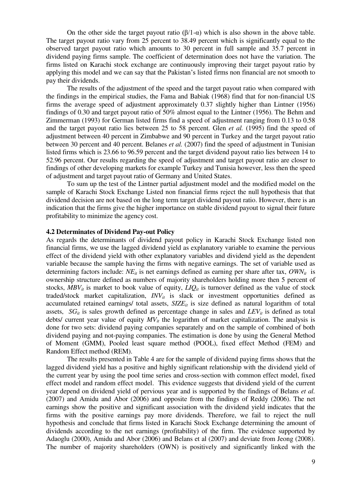On the other side the target payout ratio  $(β/1-α)$  which is also shown in the above table. The target payout ratio vary from 25 percent to 38.49 percent which is significantly equal to the observed target payout ratio which amounts to 30 percent in full sample and 35.7 percent in dividend paying firms sample. The coefficient of determination does not have the variation. The firms listed on Karachi stock exchange are continuously improving their target payout ratio by applying this model and we can say that the Pakistan"s listed firms non financial are not smooth to pay their dividends.

The results of the adjustment of the speed and the target payout ratio when compared with the findings in the empirical studies, the Fama and Babiak (1968) find that for non-financial US firms the average speed of adjustment approximately 0.37 slightly higher than Lintner (1956) findings of 0.30 and target payout ratio of 50% almost equal to the Lintner (1956). The Behm and Zimmerman (1993) for German listed firms find a speed of adjustment ranging from 0.13 to 0.58 and the target payout ratio lies between 25 to 58 percent. Glen *et al.* (1995) find the speed of adjustment between 40 percent in Zimbabwe and 90 percent in Turkey and the target payout ratio between 30 percent and 40 percent. Belanes *et al.* (2007) find the speed of adjustment in Tunisian listed firms which is 23.66 to 96.59 percent and the target dividend payout ratio lies between 14 to 52.96 percent. Our results regarding the speed of adjustment and target payout ratio are closer to findings of other developing markets for example Turkey and Tunisia however, less then the speed of adjustment and target payout ratio of Germany and United States.

To sum up the test of the Lintner partial adjustment model and the modified model on the sample of Karachi Stock Exchange Listed non financial firms reject the null hypothesis that that dividend decision are not based on the long term target dividend payout ratio. However, there is an indication that the firms give the higher importance on stable dividend payout to signal their future profitability to minimize the agency cost.

#### **4.2 Determinates of Dividend Pay-out Policy**

As regards the determinants of dividend payout policy in Karachi Stock Exchange listed non financial firms, we use the lagged dividend yield as explanatory variable to examine the pervious effect of the dividend yield with other explanatory variables and dividend yield as the dependent variable because the sample having the firms with negative earnings. The set of variable used as determining factors include:  $NE_{it}$  is net earnings defined as earning per share after tax,  $OWN_{it}$  is ownership structure defined as numbers of majority shareholders holding more then 5 percent of stocks,  $MBV<sub>it</sub>$  is market to book value of equity,  $LIQ<sub>it</sub>$  is turnover defined as the value of stock traded/stock market capitalization, *INV<sub>it</sub>* is slack or investment opportunities defined as accumulated retained earnings/ total assets, *SIZEit* is size defined as natural logarithm of total assets,  $SG_{it}$  is sales growth defined as percentage change in sales and  $LEV_{it}$  is defined as total debts/ current year value of equity  $MV_{it}$  the logarithm of market capitalization. The analysis is done for two sets: dividend paying companies separately and on the sample of combined of both dividend paying and not-paying companies. The estimation is done by using the General Method of Moment (GMM), Pooled least square method (POOL), fixed effect Method (FEM) and Random Effect method (REM).

The results presented in Table 4 are for the sample of dividend paying firms shows that the lagged dividend yield has a positive and highly significant relationship with the dividend yield of the current year by using the pool time series and cross-section with common effect model, fixed effect model and random effect model. This evidence suggests that dividend yield of the current year depend on dividend yield of pervious year and is supported by the findings of Belans *et al.* (2007) and Amidu and Abor (2006) and opposite from the findings of Reddy (2006). The net earnings show the positive and significant association with the dividend yield indicates that the firms with the positive earnings pay more dividends. Therefore, we fail to reject the null hypothesis and conclude that firms listed in Karachi Stock Exchange determining the amount of dividends according to the net earnings (profitability) of the firm. The evidence supported by Adaoglu (2000), Amidu and Abor (2006) and Belans et al (2007) and deviate from Jeong (2008). The number of majority shareholders (OWN) is positively and significantly linked with the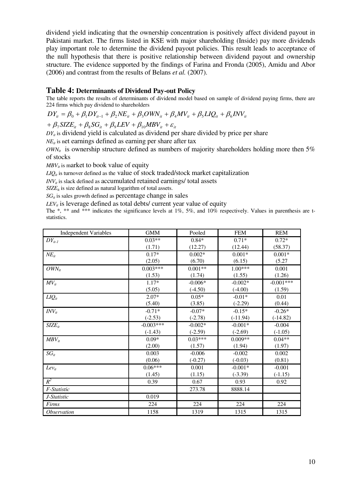dividend yield indicating that the ownership concentration is positively affect dividend payout in Pakistani market. The firms listed in KSE with major shareholding (Inside) pay more dividends play important role to determine the dividend payout policies. This result leads to acceptance of the null hypothesis that there is positive relationship between dividend payout and ownership structure. The evidence supported by the findings of Farina and Fronda (2005), Amidu and Abor (2006) and contrast from the results of Belans *et al.* (2007).

## **Table 4: Determinants of Dividend Pay-out Policy**

The table reports the results of determinants of dividend model based on sample of dividend paying firms, there are 224 firms which pay dividend to shareholders

$$
DY_{it} = \beta_0 + \beta_1 DY_{it-1} + \beta_2 NE_{it} + \beta_3 OWN_{it} + \beta_4 MV_{it} + \beta_5 LIQ_{it} + \beta_6 INV_{it}
$$

$$
+\beta_{7}SIZE_{it} + \beta_{8}SG_{it} + \beta_{9}LEV + \beta_{10} MBV_{it} + \varepsilon_{it}
$$

 $DY_{it}$  is dividend yield is calculated as dividend per share divided by price per share

 $NE<sub>it</sub>$  is net earnings defined as earning per share after tax

 $OWN<sub>i</sub>$  is ownership structure defined as numbers of majority shareholders holding more then 5% of stocks

 $MBV_i$  is market to book value of equity

 $LIQ<sub>it</sub>$  is turnover defined as the value of stock traded/stock market capitalization

 $INV<sub>i</sub>$  is slack defined as accumulated retained earnings/ total assets

 $SIZE_{it}$  is size defined as natural logarithm of total assets.

 $SG_{it}$  is sales growth defined as percentage change in sales

 $LEV_{it}$  is leverage defined as total debts/ current year value of equity

The \*, \*\* and \*\*\* indicates the significance levels at 1%, 5%, and 10% respectively. Values in parenthesis are tstatistics.

| <b>Independent Variables</b> | <b>GMM</b>  | Pooled    | <b>FEM</b> | <b>REM</b>  |
|------------------------------|-------------|-----------|------------|-------------|
| $DY_{it-l}$                  | $0.03**$    | $0.84*$   | $0.71*$    | $0.72*$     |
|                              | (1.71)      | (12.27)   | (12.44)    | (58.37)     |
| $NE_{it}$                    | $0.17*$     | $0.002*$  | $0.001*$   | $0.001*$    |
|                              | (2.05)      | (6.70)    | (6.15)     | (5.27)      |
| $OWN_{it}$                   | $0.003***$  | $0.001**$ | $1.00***$  | 0.001       |
|                              | (1.53)      | (1.74)    | (1.55)     | (1.26)      |
| $MV_{it}$                    | $1.17*$     | $-0.006*$ | $-0.002*$  | $-0.001***$ |
|                              | (5.05)      | $(-4.50)$ | $(-4.00)$  | (1.59)      |
| $LIQ_{it}$                   | $2.07*$     | $0.05*$   | $-0.01*$   | 0.01        |
|                              | (5.40)      | (3.85)    | $(-2.29)$  | (0.44)      |
| $INV_{it}$                   | $-0.71*$    | $-0.07*$  | $-0.15*$   | $-0.26*$    |
|                              | $(-2.53)$   | $(-2.78)$ | $(-11.94)$ | $(-14.82)$  |
| $SIZE_{it}$                  | $-0.003***$ | $-0.002*$ | $-0.001*$  | $-0.004$    |
|                              | $(-1.43)$   | $(-2.59)$ | $(-2.69)$  | $(-1.05)$   |
| $MBV_{it}$                   | $0.09*$     | $0.03***$ | $0.009**$  | $0.04**$    |
|                              | (2.00)      | (1.57)    | (1.94)     | (1.97)      |
| $SG_{it}$                    | 0.003       | $-0.006$  | $-0.002$   | 0.002       |
|                              | (0.06)      | $(-0.27)$ | $(-0.03)$  | (0.81)      |
| $Lev_{it}$                   | $0.06***$   | 0.001     | $-0.001*$  | $-0.001$    |
|                              | (1.45)      | (1.15)    | $(-3.39)$  | $(-1.15)$   |
| $R^2$                        | 0.39        | 0.67      | 0.93       | 0.92        |
| F-Statistic                  |             | 273.78    | 8888.14    |             |
| J-Statistic                  | 0.019       |           |            |             |
| Firms                        | 224         | 224       | 224        | 224         |
| Observation                  | 1158        | 1319      | 1315       | 1315        |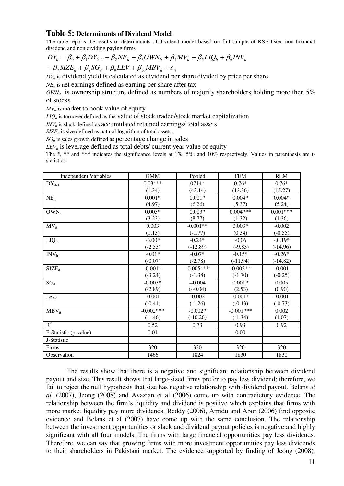# **Table 5: Determinants of Dividend Model**

The table reports the results of determinants of dividend model based on full sample of KSE listed non-financial dividend and non dividing paying firms

 $\hat{\beta}_7$ SIZE<sub>it</sub></sub> +  $\beta_8$ SG<sub>it</sub></sub> +  $\beta_9$ LEV +  $\beta_{10}$ MBV<sub>it</sub> +  $\varepsilon_{10}$  $DY_{it} = \beta_0 + \beta_1 DY_{it-1} + \beta_2 NE_{it} + \beta_3 OWN_{it} + \beta_4 MV_{it} + \beta_5 LIQ_{it} + \beta_6 INV_{it}$ 

 $DY_{ii}$  is dividend yield is calculated as dividend per share divided by price per share

 $NE<sub>it</sub>$  is net earnings defined as earning per share after tax

 $OWN<sub>it</sub>$  is ownership structure defined as numbers of majority shareholders holding more then 5% of stocks

 $MV_{it}$  is market to book value of equity

 $LIQ<sub>i</sub>$  is turnover defined as the value of stock traded/stock market capitalization

 $INV_{it}$  is slack defined as accumulated retained earnings/ total assets

 $SIZE<sub>it</sub>$  is size defined as natural logarithm of total assets.

 $SG<sub>i</sub>$  is sales growth defined as percentage change in sales

 $LEV_{it}$  is leverage defined as total debts/ current year value of equity

The \*, \*\* and \*\*\* indicates the significance levels at  $1\%$ , 5%, and  $10\%$  respectively. Values in parenthesis are tstatistics.

| <b>Independent Variables</b> | <b>GMM</b>  | Pooled      | <b>FEM</b>  | <b>REM</b> |
|------------------------------|-------------|-------------|-------------|------------|
| $DY_{it-1}$                  | $0.03***$   | $0714*$     | $0.76*$     | $0.76*$    |
|                              | (1.34)      | (43.14)     | (13.36)     | (15.27)    |
| $NE_{it}$                    | $0.001*$    | $0.001*$    | $0.004*$    | $0.004*$   |
|                              | (4.97)      | (6.26)      | (5.37)      | (5.24)     |
| $OWN_{it}$                   | $0.003*$    | $0.003*$    | $0.004***$  | $0.001***$ |
|                              | (3.23)      | (8.77)      | (1.32)      | (1.36)     |
| $MV_{it}$                    | 0.003       | $-0.001**$  | $0.003*$    | $-0.002$   |
|                              | (1.13)      | $(-1.77)$   | (0.34)      | $(-0.55)$  |
| $LIQ_{it}$                   | $-3.00*$    | $-0.24*$    | $-0.06$     | $-.0.19*$  |
|                              | $(-2.53)$   | $(-12.89)$  | $(-9.83)$   | $(-14.96)$ |
| $INV_{it}$                   | $-0.01*$    | $-0.07*$    | $-0.15*$    | $-0.26*$   |
|                              | $(-0.07)$   | $(-2.78)$   | $(-11.94)$  | $(-14.82)$ |
| $SIZE_{it}$                  | $-0.001*$   | $-0.005***$ | $-0.002**$  | $-0.001$   |
|                              | $(-3.24)$   | $(-1.38)$   | $(-1.70)$   | $(-0.25)$  |
| $SG_{it}$                    | $-0.003*$   | $-0.004$    | $0.001*$    | 0.005      |
|                              | $(-2.89)$   | $(-0.04)$   | (2.53)      | (0.90)     |
| $Lev_{it}$                   | $-0.001$    | $-0.002$    | $-0.001*$   | $-0.001$   |
|                              | $(-0.41)$   | $(-1.26)$   | $(-0.43)$   | $(-0.73)$  |
| $MBV_{it}$                   | $-0.002***$ | $-0.002*$   | $-0.001***$ | 0.002      |
|                              | $(-1.46)$   | $(-10.26)$  | $(-1.34)$   | (1.07)     |
| $R^2$                        | 0.52        | 0.73        | 0.93        | 0.92       |
| F-Statistic (p-value)        | 0.01        |             | 0.00        |            |
| J-Statistic                  |             |             |             |            |
| Firms                        | 320         | 320         | 320         | 320        |
| Observation                  | 1466        | 1824        | 1830        | 1830       |

The results show that there is a negative and significant relationship between dividend payout and size. This result shows that large-sized firms prefer to pay less dividend; therefore, we fail to reject the null hypothesis that size has negative relationship with dividend payout. Belans *et al.* (2007), Jeong (2008) and Avazian et al (2006) come up with contradictory evidence. The relationship between the firm"s liquidity and dividend is positive which explains that firms with more market liquidity pay more dividends. Reddy (2006), Amidu and Abor (2006) find opposite evidence and Belans et al (2007) have come up with the same conclusion. The relationship between the investment opportunities or slack and dividend payout policies is negative and highly significant with all four models. The firms with large financial opportunities pay less dividends. Therefore, we can say that growing firms with more investment opportunities pay less dividends to their shareholders in Pakistani market. The evidence supported by finding of Jeong (2008),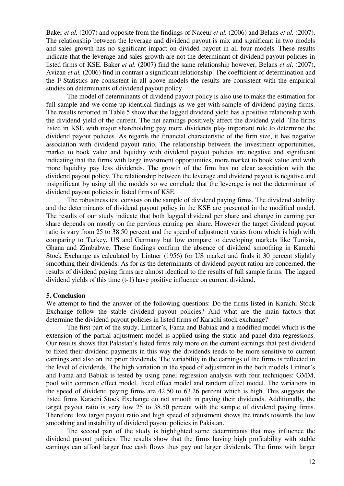Baker *et al.* (2007) and opposite from the findings of Naceur *et al.* (2006) and Belans *et al.* (2007). The relationship between the leverage and dividend payout is mix and significant in two models and sales growth has no significant impact on divided payout in all four models. These results indicate that the leverage and sales growth are not the determinant of dividend payout policies in listed firms of KSE. Baker *et al.* (2007) find the same relationship however, Belans *et al*. (2007), Avizan *et al.* (2006) find in contrast a significant relationship. The coefficient of determination and the F-Statistics are consistent in all above models the results are consistent with the empirical studies on determinants of dividend payout policy.

The model of determinants of dividend payout policy is also use to make the estimation for full sample and we come up identical findings as we get with sample of dividend paying firms. The results reported in Table 5 show that the lagged dividend yield has a positive relationship with the dividend yield of the current. The net earnings positively affect the dividend yield. The firms listed in KSE with major shareholding pay more dividends play important role to determine the dividend payout policies. As regards the financial characteristic of the firm size, it has negative association with dividend payout ratio. The relationship between the investment opportunities, market to book value and liquidity with dividend payout policies are negative and significant indicating that the firms with large investment opportunities, more market to book value and with more liquidity pay less dividends. The growth of the firm has no clear association with the dividend payout policy. The relationship between the leverage and dividend payout is negative and insignificant by using all the models so we conclude that the leverage is not the determinant of dividend payout policies in listed firms of KSE.

The robustness test consists on the sample of dividend paying firms. The dividend stability and the determinants of dividend payout policy in the KSE are presented in the modified model. The results of our study indicate that both lagged dividend per share and change in earning per share depends on mostly on the pervious earning per share. However the target dividend payout ratio is vary from 25 to 38.50 percent and the speed of adjustment varies from which is high with comparing to Turkey, US and Germany but low compare to developing markets like Tunisia, Ghana and Zimbabwe. These findings confirm the absence of dividend smoothing in Karachi Stock Exchange as calculated by Lintner (1956) for US market and finds it 30 percent slightly smoothing their dividends. As for as the determinants of dividend payout ration are concerned, the results of dividend paying firms are almost identical to the results of full sample firms. The lagged dividend yields of this time (t-1) have positive influence on current dividend.

#### **5. Conclusion**

We attempt to find the answer of the following questions: Do the firms listed in Karachi Stock Exchange follow the stable dividend payout policies? And what are the main factors that determine the dividend payout policies in listed firms of Karachi stock exchange?

The first part of the study, Lintner"s, Fama and Babiak and a modified model which is the extension of the partial adjustment model is applied using the static and panel data regressions. Our results shows that Pakistan"s listed firms rely more on the current earnings that past dividend to fixed their dividend payments in this way the dividends tends to be more sensitive to current earnings and also on the prior dividends. The variability in the earnings of the firms is reflected in the level of dividends. The high variation in the speed of adjustment in the both models Lintner"s and Fama and Babiak is tested by using panel regression analysis with four techniques: GMM, pool with common effect model, fixed effect model and random effect model. The variations in the speed of dividend paying firms are 42.50 to 63.26 percent which is high. This suggests the listed firms Karachi Stock Exchange do not smooth in paying their dividends. Additionally, the target payout ratio is very low 25 to 38.50 percent with the sample of dividend paying firms. Therefore, low target payout ratio and high speed of adjustment shows the trends towards the low smoothing and instability of dividend payout policies in Pakistan.

The second part of the study is highlighted some determinants that may influence the dividend payout policies. The results show that the firms having high profitability with stable earnings can afford larger free cash flows thus pay out larger dividends. The firms with larger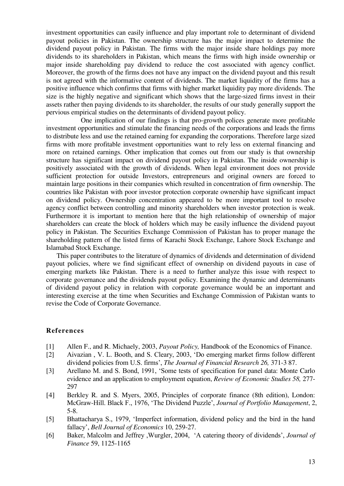investment opportunities can easily influence and play important role to determinant of dividend payout policies in Pakistan. The ownership structure has the major impact to determine the dividend payout policy in Pakistan. The firms with the major inside share holdings pay more dividends to its shareholders in Pakistan, which means the firms with high inside ownership or major inside shareholding pay dividend to reduce the cost associated with agency conflict. Moreover, the growth of the firms does not have any impact on the dividend payout and this result is not agreed with the informative content of dividends. The market liquidity of the firms has a positive influence which confirms that firms with higher market liquidity pay more dividends. The size is the highly negative and significant which shows that the large-sized firms invest in their assets rather then paying dividends to its shareholder, the results of our study generally support the pervious empirical studies on the determinants of dividend payout policy.

 One implication of our findings is that pro-growth polices generate more profitable investment opportunities and stimulate the financing needs of the corporations and leads the firms to distribute less and use the retained earning for expanding the corporations. Therefore large sized firms with more profitable investment opportunities want to rely less on external financing and more on retained earnings. Other implication that comes out from our study is that ownership structure has significant impact on dividend payout policy in Pakistan. The inside ownership is positively associated with the growth of dividends. When legal environment does not provide sufficient protection for outside Investors, entrepreneurs and original owners are forced to maintain large positions in their companies which resulted in concentration of firm ownership. The countries like Pakistan with poor investor protection corporate ownership have significant impact on dividend policy. Ownership concentration appeared to be more important tool to resolve agency conflict between controlling and minority shareholders when investor protection is weak. Furthermore it is important to mention here that the high relationship of ownership of major shareholders can create the block of holders which may be easily influence the dividend payout policy in Pakistan. The Securities Exchange Commission of Pakistan has to proper manage the shareholding pattern of the listed firms of Karachi Stock Exchange, Lahore Stock Exchange and Islamabad Stock Exchange.

This paper contributes to the literature of dynamics of dividends and determination of dividend payout policies, where we find significant effect of ownership on dividend payouts in case of emerging markets like Pakistan. There is a need to further analyze this issue with respect to corporate governance and the dividends payout policy. Examining the dynamic and determinants of dividend payout policy in relation with corporate governance would be an important and interesting exercise at the time when Securities and Exchange Commission of Pakistan wants to revise the Code of Corporate Governance.

#### **References**

- [1] Allen F., and R. Michaely, 2003, *Payout Policy,* Handbook of the Economics of Finance.
- [2] Aivazian , V. L. Booth, and S. Cleary, 2003, "Do emerging market firms follow different dividend policies from U.S. firms", *The Journal of Financial Research 26,* 371-3 87.
- [3] Arellano M. and S. Bond, 1991, "Some tests of specification for panel data: Monte Carlo evidence and an application to employment equation, *Review of Economic Studies 58,* 277- 297
- [4] Berkley R. and S. Myers, 2005, Principles of corporate finance (8th edition), London: McGraw-Hill. Black F., 1976, "The Dividend Puzzle", *Journal of Portfolio Management*, 2, 5-8.
- [5] Bhattacharya S., 1979, "Imperfect information, dividend policy and the bird in the hand fallacy", *Bell Journal of Economics* 10, 259-27.
- [6] Baker, Malcolm and Jeffrey ,Wurgler, 2004, "A catering theory of dividends", *Journal of Finance* 59, 1125-1165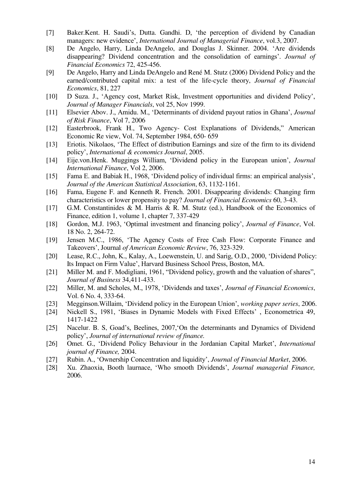- [7] Baker.Kent. H. Saudi"s, Dutta. Gandhi. D, "the perception of dividend by Canadian managers: new evidence", *International Journal of Managerial Finance*, vol.3, 2007.
- [8] De Angelo, Harry, Linda DeAngelo, and Douglas J. Skinner. 2004. "Are dividends disappearing? Dividend concentration and the consolidation of earnings". *Journal of Financial Economics* 72, 425-456.
- [9] De Angelo, Harry and Linda DeAngelo and René M. Stutz (2006) Dividend Policy and the earned/contributed capital mix: a test of the life-cycle theory, *Journal of Financial Economics*, 81, 227
- [10] D Suza. J., 'Agency cost, Market Risk, Investment opportunities and dividend Policy', *Journal of Manager Financials*, vol 25, Nov 1999.
- [11] Elsevier Abov. J., Amidu. M., "Determinants of dividend payout ratios in Ghana", *Journal of Risk Finance*, Vol 7, 2006
- [12] Easterbrook, Frank H., Two Agency- Cost Explanations of Dividends," American Economic Re view, Vol. 74, September 1984, 650- 659
- [13] Eriotis. Nikolaos, 'The Effect of distribution Earnings and size of the firm to its dividend policy", *International & economics Journal*, 2005.
- [14] Eije.von.Henk. Muggings William, "Dividend policy in the European union", *Journal International Finance*, Vol 2, 2006.
- [15] Fama E. and Babiak H., 1968, 'Dividend policy of individual firms: an empirical analysis', *Journal of the American Statistical Association*, 63, 1132-1161.
- [16] Fama, Eugene F. and Kenneth R. French. 2001. Disappearing dividends: Changing firm characteristics or lower propensity to pay? *Journal of Financial Economics* 60, 3-43.
- [17] G.M. Constantinides & M. Harris & R. M. Stutz (ed.), Handbook of the Economics of Finance, edition 1, volume 1, chapter 7, 337-429
- [18] Gordon, M.J. 1963, "Optimal investment and financing policy", *Journal of Finance*, Vol. 18 No. 2, 264-72.
- [19] Jensen M.C., 1986, "The Agency Costs of Free Cash Flow: Corporate Finance and Takeovers", Journal *of American Economic Review*, 76, 323-329.
- [20] Lease, R.C., John, K., Kalay, A., Loewenstein, U. and Sarig, O.D., 2000, "Dividend Policy: Its Impact on Firm Value", Harvard Business School Press, Boston, MA.
- [21] Miller M. and F. Modigliani, 1961, "Dividend policy, growth and the valuation of shares", *Journal of Business* 34,411-433.
- [22] Miller, M. and Scholes, M., 1978, "Dividends and taxes", *Journal of Financial Economics*, Vol. 6 No. 4, 333-64.
- [23] Megginson.Willaim, "Dividend policy in the European Union", *working paper series*, 2006.
- [24] Nickell S., 1981, 'Biases in Dynamic Models with Fixed Effects', Econometrica 49, 1417-1422
- [25] Nacelur. B. S, Goad's, Beelines, 2007, On the determinants and Dynamics of Dividend policy", *Journal of international review of finance.*
- [26] Omet. G., 'Dividend Policy Behaviour in the Jordanian Capital Market', *International journal of Finance,* 2004.
- [27] Rubin. A., "Ownership Concentration and liquidity", *Journal of Financial Market*, 2006.
- [28] Xu. Zhaoxia, Booth laurnace, "Who smooth Dividends", *Journal managerial Finance,* 2006.